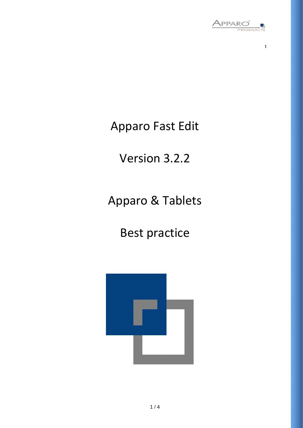

t

### Apparo Fast Edit

# Version 3.2.2

# Apparo & Tablets

# Best practice

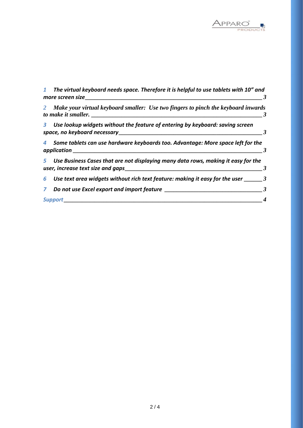

|              | The virtual keyboard needs space. Therefore it is helpful to use tablets with 10" and<br>more screen size |   |
|--------------|-----------------------------------------------------------------------------------------------------------|---|
| 2            | Make your virtual keyboard smaller: Use two fingers to pinch the keyboard inwards                         | 3 |
| 3.           | Use lookup widgets without the feature of entering by keyboard: saving screen                             |   |
| 4            | Some tablets can use hardware keyboards too. Advantage: More space left for the<br>application            |   |
|              | 5 Use Business Cases that are not displaying many data rows, making it easy for the                       |   |
| 6            | Use text area widgets without rich text feature: making it easy for the user $\frac{3}{2}$                |   |
| $\mathbf{Z}$ | Do not use Excel export and import feature                                                                | 3 |
|              | <b>Support</b>                                                                                            |   |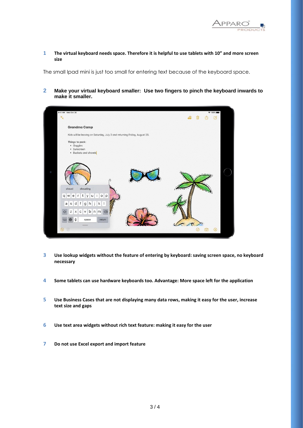

**1 The virtual keyboard needs space. Therefore it is helpful to use tablets with 10" and more screen size**

The small Ipad mini is just too small for entering text because of the keyboard space.

**2 Make your virtual keyboard smaller: Use two fingers to pinch the keyboard inwards to make it smaller.**



- **3 Use lookup widgets without the feature of entering by keyboard: saving screen space, no keyboard necessary**
- **4 Some tablets can use hardware keyboards too. Advantage: More space left for the application**
- **5 Use Business Cases that are not displaying many data rows, making it easy for the user, increase text size and gaps**
- **6 Use text area widgets without rich text feature: making it easy for the user**
- **7 Do not use Excel export and import feature**